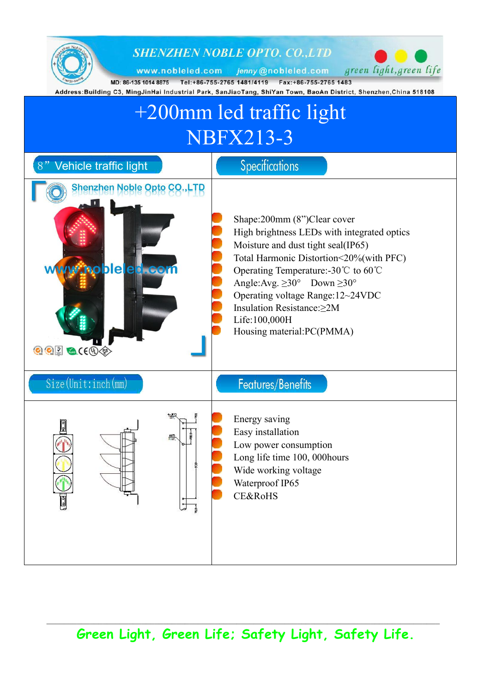

**Green Light, Green Life; Safety Light, Safety Life.**

\_\_\_\_\_\_\_\_\_\_\_\_\_\_\_\_\_\_\_\_\_\_\_\_\_\_\_\_\_\_\_\_\_\_\_\_\_\_\_\_\_\_\_\_\_\_\_\_\_\_\_\_\_\_\_\_\_\_\_\_\_\_\_\_\_\_\_\_\_\_\_\_\_\_\_\_\_\_\_\_\_\_\_\_\_\_\_\_\_\_\_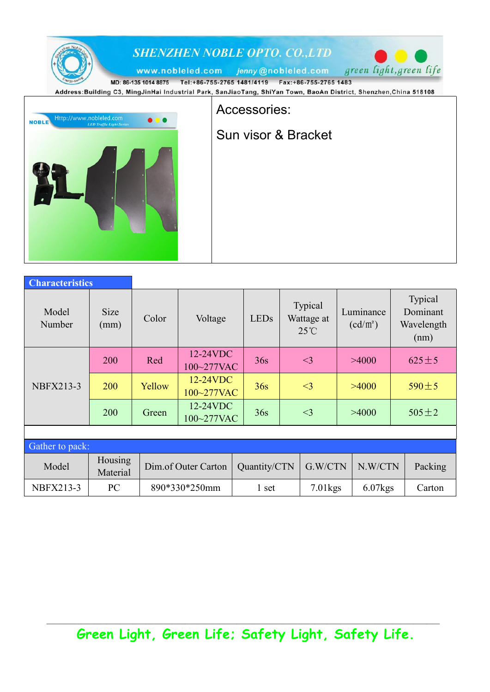

| <b>Characteristics</b> |                            |                     |                        |              |                                         |                         |                                           |
|------------------------|----------------------------|---------------------|------------------------|--------------|-----------------------------------------|-------------------------|-------------------------------------------|
| Model<br>Number        | <b>Size</b><br>(mm)        | Color               | Voltage                | <b>LEDs</b>  | Typical<br>Wattage at<br>$25^{\circ}$ C | Luminance<br>$(cd/m^2)$ | Typical<br>Dominant<br>Wavelength<br>(nm) |
| <b>NBFX213-3</b>       | 200                        | Red                 | 12-24VDC<br>100~277VAC | 36s          | <3                                      | >4000                   | $625 \pm 5$                               |
|                        | 200                        | Yellow              | 12-24VDC<br>100~277VAC | 36s          | $\leq$ 3                                | >4000                   | $590 \pm 5$                               |
|                        | <b>200</b>                 | Green               | 12-24VDC<br>100~277VAC | 36s          | <3                                      | >4000                   | $505 \pm 2$                               |
|                        |                            |                     |                        |              |                                         |                         |                                           |
| Gather to pack:        |                            |                     |                        |              |                                         |                         |                                           |
| Model                  | <b>Housing</b><br>Material | Dim.of Outer Carton |                        | Quantity/CTN | G.W/CTN                                 | N.W/CTN                 | Packing                                   |
| <b>NBFX213-3</b>       | PC                         |                     | 890*330*250mm          |              | $7.01$ kgs                              | $6.07$ <sub>kgs</sub>   | Carton                                    |

\_\_\_\_\_\_\_\_\_\_\_\_\_\_\_\_\_\_\_\_\_\_\_\_\_\_\_\_\_\_\_\_\_\_\_\_\_\_\_\_\_\_\_\_\_\_\_\_\_\_\_\_\_\_\_\_\_\_\_\_\_\_\_\_\_\_\_\_\_\_\_\_\_\_\_\_\_\_\_\_\_\_\_\_\_\_\_\_\_\_\_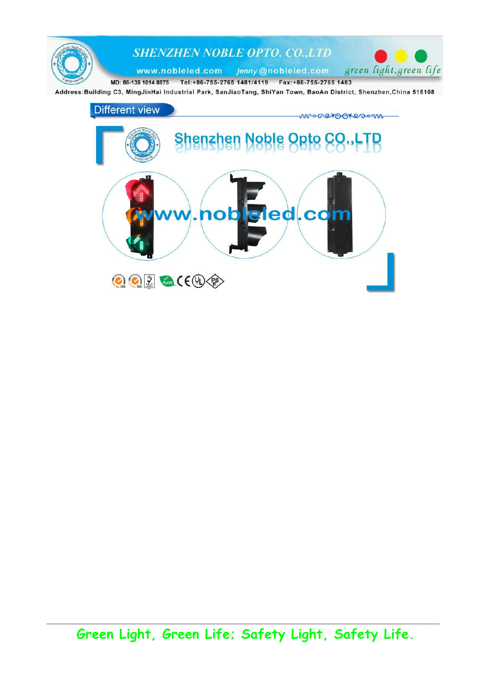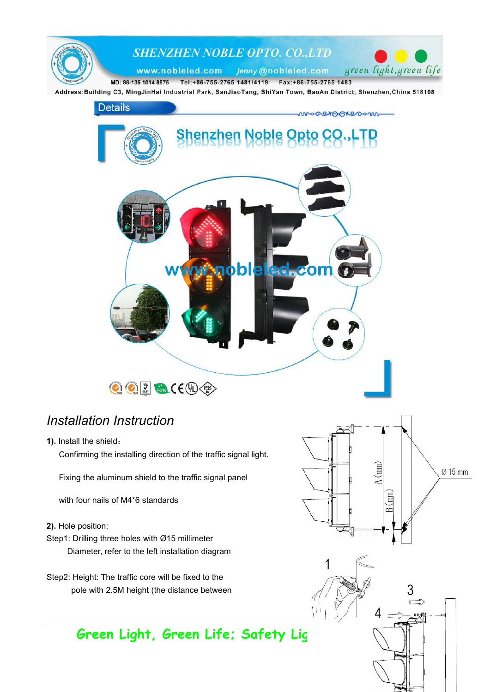

## *Installation Instruction*

**1).** Install the shield: Confirming the installing direction of the traffic signal light.

Fixing the aluminum shield to the traffic signal panel

with four nails of M4\*6 standards

- **2).** Hole position:
- Step1: Drilling three holes with Ø15 millimeter Diameter, refer to the left installation diagram

Step2: Height: The traffic core will be fixed to the pole with 2.5M height (the distance between





## **Green Light, Green Life; Safety Light**